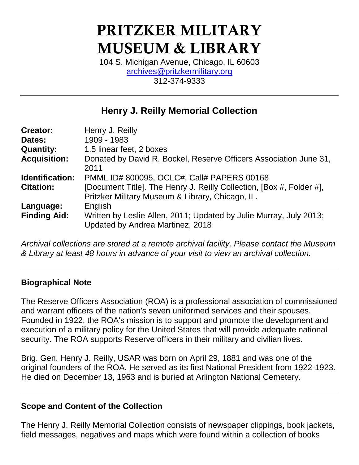# PRITZKER MILITARY MUSEUM & LIBRARY

104 S. Michigan Avenue, Chicago, IL 60603 [archives@pritzkermilitary.org](mailto:archives@pritzkermilitary.org) 312-374-9333

# **Henry J. Reilly Memorial Collection**

| <b>Creator:</b>     | Henry J. Reilly                                                                                                          |
|---------------------|--------------------------------------------------------------------------------------------------------------------------|
| Dates:              | 1909 - 1983                                                                                                              |
| <b>Quantity:</b>    | 1.5 linear feet, 2 boxes                                                                                                 |
| <b>Acquisition:</b> | Donated by David R. Bockel, Reserve Officers Association June 31,<br>2011                                                |
| Identification:     | PMML ID# 800095, OCLC#, Call# PAPERS 00168                                                                               |
| <b>Citation:</b>    | [Document Title]. The Henry J. Reilly Collection, [Box #, Folder #],<br>Pritzker Military Museum & Library, Chicago, IL. |
| Language:           | English                                                                                                                  |
| <b>Finding Aid:</b> | Written by Leslie Allen, 2011; Updated by Julie Murray, July 2013;<br>Updated by Andrea Martinez, 2018                   |

*Archival collections are stored at a remote archival facility. Please contact the Museum & Library at least 48 hours in advance of your visit to view an archival collection.*

# **Biographical Note**

The Reserve Officers Association (ROA) is a professional association of commissioned and warrant officers of the nation's seven uniformed services and their spouses. Founded in 1922, the ROA's mission is to support and promote the development and execution of a military policy for the United States that will provide adequate national security. The ROA supports Reserve officers in their military and civilian lives.

Brig. Gen. Henry J. Reilly, USAR was born on April 29, 1881 and was one of the original founders of the ROA. He served as its first National President from 1922-1923. He died on December 13, 1963 and is buried at Arlington National Cemetery.

# **Scope and Content of the Collection**

The Henry J. Reilly Memorial Collection consists of newspaper clippings, book jackets, field messages, negatives and maps which were found within a collection of books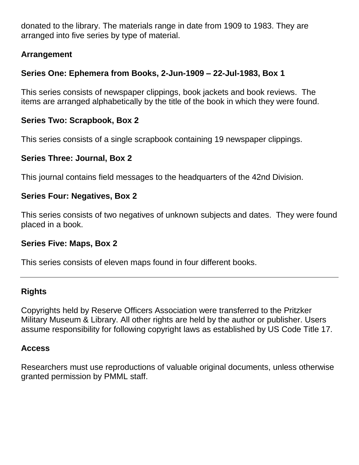donated to the library. The materials range in date from 1909 to 1983. They are arranged into five series by type of material.

# **Arrangement**

# **Series One: Ephemera from Books, 2-Jun-1909 – 22-Jul-1983, Box 1**

This series consists of newspaper clippings, book jackets and book reviews. The items are arranged alphabetically by the title of the book in which they were found.

# **Series Two: Scrapbook, Box 2**

This series consists of a single scrapbook containing 19 newspaper clippings.

#### **Series Three: Journal, Box 2**

This journal contains field messages to the headquarters of the 42nd Division.

#### **Series Four: Negatives, Box 2**

This series consists of two negatives of unknown subjects and dates. They were found placed in a book.

#### **Series Five: Maps, Box 2**

This series consists of eleven maps found in four different books.

# **Rights**

Copyrights held by Reserve Officers Association were transferred to the Pritzker Military Museum & Library. All other rights are held by the author or publisher. Users assume responsibility for following copyright laws as established by US Code Title 17.

# **Access**

Researchers must use reproductions of valuable original documents, unless otherwise granted permission by PMML staff.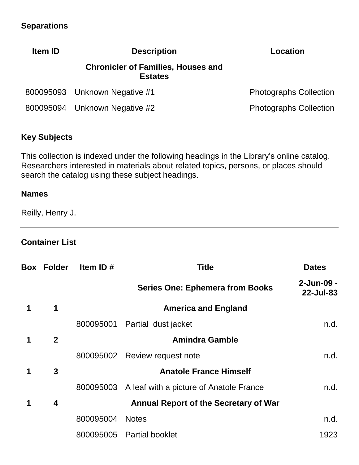# **Separations**

| <b>Description</b><br><b>Item ID</b> |                                                             | Location                      |
|--------------------------------------|-------------------------------------------------------------|-------------------------------|
|                                      | <b>Chronicler of Families, Houses and</b><br><b>Estates</b> |                               |
|                                      | 800095093 Unknown Negative #1                               | <b>Photographs Collection</b> |
|                                      | 800095094 Unknown Negative #2                               | <b>Photographs Collection</b> |

#### **Key Subjects**

This collection is indexed under the following headings in the Library's online catalog. Researchers interested in materials about related topics, persons, or places should search the catalog using these subject headings.

#### **Names**

Reilly, Henry J.

#### **Container List**

|   | <b>Box Folder</b> | Item ID $#$ | Title                                             | <b>Dates</b>            |
|---|-------------------|-------------|---------------------------------------------------|-------------------------|
|   |                   |             | <b>Series One: Ephemera from Books</b>            | 2-Jun-09 -<br>22-Jul-83 |
| 1 | $\mathbf 1$       |             | <b>America and England</b>                        |                         |
|   |                   | 800095001   | Partial dust jacket                               | n.d.                    |
|   | $\mathbf{2}$      |             | <b>Amindra Gamble</b>                             |                         |
|   |                   | 800095002   | Review request note                               | n.d.                    |
| 1 | 3                 |             | <b>Anatole France Himself</b>                     |                         |
|   |                   |             | 800095003 A leaf with a picture of Anatole France | n.d.                    |
| 1 | 4                 |             | <b>Annual Report of the Secretary of War</b>      |                         |
|   |                   | 800095004   | <b>Notes</b>                                      | n.d.                    |
|   |                   | 800095005   | <b>Partial booklet</b>                            | 1923                    |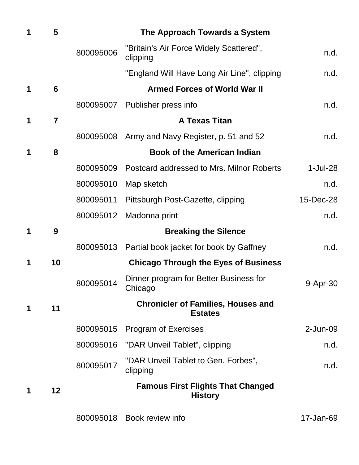| 1 | 5              |           | The Approach Towards a System                               |             |
|---|----------------|-----------|-------------------------------------------------------------|-------------|
|   |                | 800095006 | "Britain's Air Force Widely Scattered",<br>clipping         | n.d.        |
|   |                |           | "England Will Have Long Air Line", clipping                 | n.d.        |
| 1 | 6              |           | <b>Armed Forces of World War II</b>                         |             |
|   |                | 800095007 | Publisher press info                                        | n.d.        |
| 1 | $\overline{7}$ |           | <b>A Texas Titan</b>                                        |             |
|   |                | 800095008 | Army and Navy Register, p. 51 and 52                        | n.d.        |
| 1 | 8              |           | <b>Book of the American Indian</b>                          |             |
|   |                | 800095009 | Postcard addressed to Mrs. Milnor Roberts                   | $1$ -Jul-28 |
|   |                | 800095010 | Map sketch                                                  | n.d.        |
|   |                | 800095011 | Pittsburgh Post-Gazette, clipping                           | 15-Dec-28   |
|   |                | 800095012 | Madonna print                                               | n.d.        |
| 1 | 9              |           | <b>Breaking the Silence</b>                                 |             |
|   |                | 800095013 | Partial book jacket for book by Gaffney                     | n.d.        |
| 1 | 10             |           | <b>Chicago Through the Eyes of Business</b>                 |             |
|   |                | 800095014 | Dinner program for Better Business for<br>Chicago           | 9-Apr-30    |
| 1 | 11             |           | <b>Chronicler of Families, Houses and</b><br><b>Estates</b> |             |
|   |                | 800095015 | <b>Program of Exercises</b>                                 | $2$ -Jun-09 |
|   |                |           | 800095016 "DAR Unveil Tablet", clipping                     | n.d.        |
|   |                | 800095017 | "DAR Unveil Tablet to Gen. Forbes",<br>clipping             | n.d.        |
| 1 | 12             |           | <b>Famous First Flights That Changed</b><br><b>History</b>  |             |
|   |                | 800095018 | Book review info                                            | 17-Jan-69   |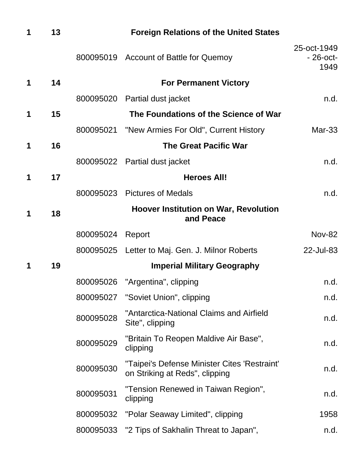| 1 | 13 |           | <b>Foreign Relations of the United States</b>                                  |                                    |
|---|----|-----------|--------------------------------------------------------------------------------|------------------------------------|
|   |    |           | 800095019 Account of Battle for Quemoy                                         | 25-oct-1949<br>$-26$ -oct-<br>1949 |
| 1 | 14 |           | <b>For Permanent Victory</b>                                                   |                                    |
|   |    | 800095020 | Partial dust jacket                                                            | n.d.                               |
| 1 | 15 |           | The Foundations of the Science of War                                          |                                    |
|   |    | 800095021 | "New Armies For Old", Current History                                          | Mar-33                             |
| 1 | 16 |           | <b>The Great Pacific War</b>                                                   |                                    |
|   |    |           | 800095022 Partial dust jacket                                                  | n.d.                               |
| 1 | 17 |           | <b>Heroes All!</b>                                                             |                                    |
|   |    | 800095023 | <b>Pictures of Medals</b>                                                      | n.d.                               |
| 1 | 18 |           | <b>Hoover Institution on War, Revolution</b><br>and Peace                      |                                    |
|   |    | 800095024 | Report                                                                         | <b>Nov-82</b>                      |
|   |    | 800095025 | Letter to Maj. Gen. J. Milnor Roberts                                          | 22-Jul-83                          |
| 1 | 19 |           | <b>Imperial Military Geography</b>                                             |                                    |
|   |    | 800095026 | "Argentina", clipping                                                          | n.d.                               |
|   |    | 800095027 | "Soviet Union", clipping                                                       | n.d.                               |
|   |    | 800095028 | "Antarctica-National Claims and Airfield<br>Site", clipping                    | n.d.                               |
|   |    | 800095029 | "Britain To Reopen Maldive Air Base",<br>clipping                              | n.d.                               |
|   |    | 800095030 | "Taipei's Defense Minister Cites 'Restraint'<br>on Striking at Reds", clipping | n.d.                               |
|   |    | 800095031 | "Tension Renewed in Taiwan Region",<br>clipping                                | n.d.                               |
|   |    | 800095032 | "Polar Seaway Limited", clipping                                               | 1958                               |
|   |    | 800095033 | "2 Tips of Sakhalin Threat to Japan",                                          | n.d.                               |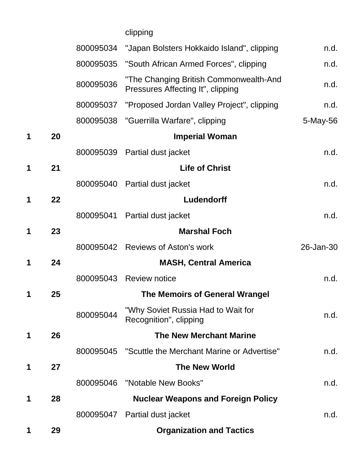|   |    |           | clipping                                                                    |           |
|---|----|-----------|-----------------------------------------------------------------------------|-----------|
|   |    | 800095034 | "Japan Bolsters Hokkaido Island", clipping                                  | n.d.      |
|   |    | 800095035 | "South African Armed Forces", clipping                                      | n.d.      |
|   |    | 800095036 | "The Changing British Commonwealth-And<br>Pressures Affecting It", clipping | n.d.      |
|   |    | 800095037 | "Proposed Jordan Valley Project", clipping                                  | n.d.      |
|   |    |           | 800095038 "Guerrilla Warfare", clipping                                     | 5-May-56  |
| 1 | 20 |           | <b>Imperial Woman</b>                                                       |           |
|   |    | 800095039 | Partial dust jacket                                                         | n.d.      |
| 1 | 21 |           | <b>Life of Christ</b>                                                       |           |
|   |    | 800095040 | Partial dust jacket                                                         | n.d.      |
| 1 | 22 |           | Ludendorff                                                                  |           |
|   |    | 800095041 | Partial dust jacket                                                         | n.d.      |
| 1 | 23 |           | <b>Marshal Foch</b>                                                         |           |
|   |    | 800095042 | <b>Reviews of Aston's work</b>                                              | 26-Jan-30 |
| 1 | 24 |           | <b>MASH, Central America</b>                                                |           |
|   |    | 800095043 | <b>Review notice</b>                                                        | n.d.      |
| 1 | 25 |           | <b>The Memoirs of General Wrangel</b>                                       |           |
|   |    | 800095044 | "Why Soviet Russia Had to Wait for<br>Recognition", clipping                | n.d.      |
| 1 | 26 |           | <b>The New Merchant Marine</b>                                              |           |
|   |    | 800095045 | "Scuttle the Merchant Marine or Advertise"                                  | n.d.      |
| 1 | 27 |           | <b>The New World</b>                                                        |           |
|   |    | 800095046 | "Notable New Books"                                                         | n.d.      |
| 1 | 28 |           | <b>Nuclear Weapons and Foreign Policy</b>                                   |           |
|   |    |           | 800095047 Partial dust jacket                                               | n.d.      |
| 1 | 29 |           | <b>Organization and Tactics</b>                                             |           |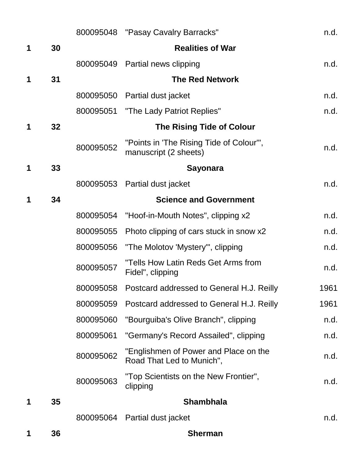|   |    |           | 800095048 "Pasay Cavalry Barracks"                                 | n.d. |
|---|----|-----------|--------------------------------------------------------------------|------|
| 1 | 30 |           | <b>Realities of War</b>                                            |      |
|   |    | 800095049 | Partial news clipping                                              | n.d. |
| 1 | 31 |           | <b>The Red Network</b>                                             |      |
|   |    | 800095050 | Partial dust jacket                                                | n.d. |
|   |    | 800095051 | "The Lady Patriot Replies"                                         | n.d. |
| 1 | 32 |           | <b>The Rising Tide of Colour</b>                                   |      |
|   |    | 800095052 | "Points in 'The Rising Tide of Colour'",<br>manuscript (2 sheets)  | n.d. |
| 1 | 33 |           | <b>Sayonara</b>                                                    |      |
|   |    | 800095053 | Partial dust jacket                                                | n.d. |
| 1 | 34 |           | <b>Science and Government</b>                                      |      |
|   |    | 800095054 | "Hoof-in-Mouth Notes", clipping x2                                 | n.d. |
|   |    | 800095055 | Photo clipping of cars stuck in snow x2                            | n.d. |
|   |    | 800095056 | "The Molotov 'Mystery'", clipping                                  | n.d. |
|   |    | 800095057 | "Tells How Latin Reds Get Arms from<br>Fidel", clipping            | n.d. |
|   |    | 800095058 | Postcard addressed to General H.J. Reilly                          | 1961 |
|   |    | 800095059 | Postcard addressed to General H.J. Reilly                          | 1961 |
|   |    | 800095060 | "Bourguiba's Olive Branch", clipping                               | n.d. |
|   |    | 800095061 | "Germany's Record Assailed", clipping                              | n.d. |
|   |    | 800095062 | "Englishmen of Power and Place on the<br>Road That Led to Munich", | n.d. |
|   |    | 800095063 | "Top Scientists on the New Frontier",<br>clipping                  | n.d. |
| 1 | 35 |           | <b>Shambhala</b>                                                   |      |
|   |    | 800095064 | Partial dust jacket                                                | n.d. |
| 1 | 36 |           | <b>Sherman</b>                                                     |      |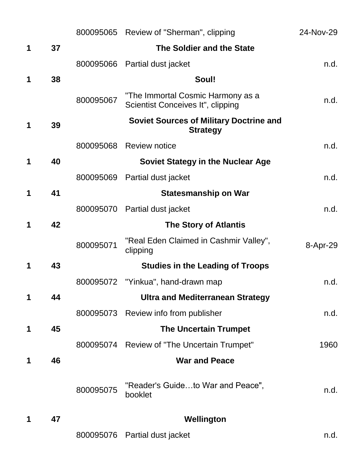|   |    |           | 800095065 Review of "Sherman", clipping                                | 24-Nov-29 |
|---|----|-----------|------------------------------------------------------------------------|-----------|
| 1 | 37 |           | The Soldier and the State                                              |           |
|   |    | 800095066 | Partial dust jacket                                                    | n.d.      |
| 1 | 38 |           | Soul!                                                                  |           |
|   |    | 800095067 | "The Immortal Cosmic Harmony as a<br>Scientist Conceives It", clipping | n.d.      |
| 1 | 39 |           | <b>Soviet Sources of Military Doctrine and</b><br><b>Strategy</b>      |           |
|   |    | 800095068 | <b>Review notice</b>                                                   | n.d.      |
| 1 | 40 |           | <b>Soviet Stategy in the Nuclear Age</b>                               |           |
|   |    | 800095069 | Partial dust jacket                                                    | n.d.      |
| 1 | 41 |           | <b>Statesmanship on War</b>                                            |           |
|   |    | 800095070 | Partial dust jacket                                                    | n.d.      |
| 1 | 42 |           | <b>The Story of Atlantis</b>                                           |           |
|   |    | 800095071 | "Real Eden Claimed in Cashmir Valley",<br>clipping                     | 8-Apr-29  |
| 1 | 43 |           | <b>Studies in the Leading of Troops</b>                                |           |
|   |    | 800095072 | "Yinkua", hand-drawn map                                               | n.d.      |
| 1 | 44 |           | <b>Ultra and Mediterranean Strategy</b>                                |           |
|   |    | 800095073 | Review info from publisher                                             | n.d.      |
| 1 | 45 |           | <b>The Uncertain Trumpet</b>                                           |           |
|   |    |           | 800095074 Review of "The Uncertain Trumpet"                            | 1960      |
| 1 | 46 |           | <b>War and Peace</b>                                                   |           |
|   |    | 800095075 | "Reader's Guideto War and Peace",<br>booklet                           | n.d.      |
| 1 | 47 |           | Wellington                                                             |           |
|   |    | 800095076 | Partial dust jacket                                                    | n.d.      |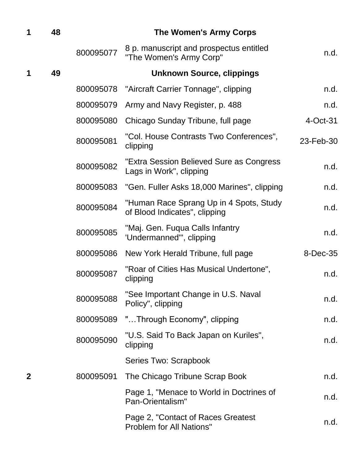| 1            | 48 |           | <b>The Women's Army Corps</b>                                            |           |
|--------------|----|-----------|--------------------------------------------------------------------------|-----------|
|              |    | 800095077 | 8 p. manuscript and prospectus entitled<br>"The Women's Army Corp"       | n.d.      |
| 1            | 49 |           | <b>Unknown Source, clippings</b>                                         |           |
|              |    | 800095078 | "Aircraft Carrier Tonnage", clipping                                     | n.d.      |
|              |    | 800095079 | Army and Navy Register, p. 488                                           | n.d.      |
|              |    | 800095080 | Chicago Sunday Tribune, full page                                        | 4-Oct-31  |
|              |    | 800095081 | "Col. House Contrasts Two Conferences",<br>clipping                      | 23-Feb-30 |
|              |    | 800095082 | "Extra Session Believed Sure as Congress<br>Lags in Work", clipping      | n.d.      |
|              |    | 800095083 | "Gen. Fuller Asks 18,000 Marines", clipping                              | n.d.      |
|              |    | 800095084 | "Human Race Sprang Up in 4 Spots, Study<br>of Blood Indicates", clipping | n.d.      |
|              |    | 800095085 | "Maj. Gen. Fuqua Calls Infantry<br>'Undermanned'", clipping              | n.d.      |
|              |    | 800095086 | New York Herald Tribune, full page                                       | 8-Dec-35  |
|              |    | 800095087 | "Roar of Cities Has Musical Undertone",<br>clipping                      | n.d.      |
|              |    | 800095088 | "See Important Change in U.S. Naval<br>Policy", clipping                 | n.d.      |
|              |    | 800095089 | "Through Economy", clipping                                              | n.d.      |
|              |    | 800095090 | "U.S. Said To Back Japan on Kuriles",<br>clipping                        | n.d.      |
|              |    |           | Series Two: Scrapbook                                                    |           |
| $\mathbf{2}$ |    | 800095091 | The Chicago Tribune Scrap Book                                           | n.d.      |
|              |    |           | Page 1, "Menace to World in Doctrines of<br>Pan-Orientalism"             | n.d.      |
|              |    |           | Page 2, "Contact of Races Greatest<br><b>Problem for All Nations"</b>    | n.d.      |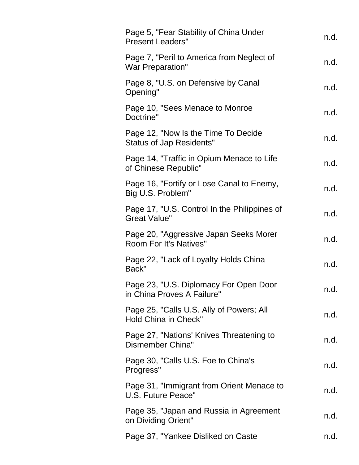| Page 5, "Fear Stability of China Under<br><b>Present Leaders"</b>       | n.d. |
|-------------------------------------------------------------------------|------|
| Page 7, "Peril to America from Neglect of<br><b>War Preparation"</b>    | n.d. |
| Page 8, "U.S. on Defensive by Canal<br>Opening"                         | n.d. |
| Page 10, "Sees Menace to Monroe"<br>Doctrine"                           | n.d. |
| Page 12, "Now Is the Time To Decide<br><b>Status of Jap Residents"</b>  | n.d. |
| Page 14, "Traffic in Opium Menace to Life<br>of Chinese Republic"       | n.d. |
| Page 16, "Fortify or Lose Canal to Enemy,<br>Big U.S. Problem"          | n.d. |
| Page 17, "U.S. Control In the Philippines of<br><b>Great Value"</b>     | n.d. |
| Page 20, "Aggressive Japan Seeks Morer<br><b>Room For It's Natives"</b> | n.d. |
| Page 22, "Lack of Loyalty Holds China<br>Back"                          | n.d. |
| Page 23, "U.S. Diplomacy For Open Door<br>in China Proves A Failure"    | n.d. |
| Page 25, "Calls U.S. Ally of Powers; All<br><b>Hold China in Check"</b> | n.d. |
| Page 27, "Nations' Knives Threatening to<br>Dismember China"            | n.d. |
| Page 30, "Calls U.S. Foe to China's<br>Progress"                        | n.d. |
| Page 31, "Immigrant from Orient Menace to<br>U.S. Future Peace"         | n.d. |
| Page 35, "Japan and Russia in Agreement<br>on Dividing Orient"          | n.d. |
| Page 37, "Yankee Disliked on Caste                                      | n.d. |